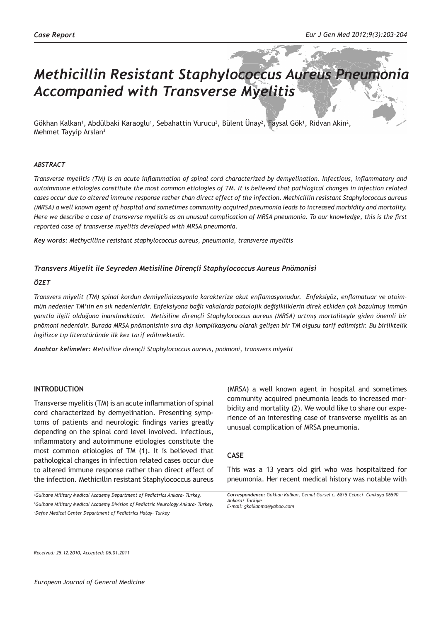# *Methicillin Resistant Staphylococcus Aureus Pneumonia Accompanied with Transverse Myelitis*

 $\rm G$ ökhan Kalkan $^{\rm 1},$  Abdülbaki Karaoglu $^{\rm 1},$  Sebahattin Vurucu $^{\rm 2},$  Bülent Unay $^{\rm 2},$  Faysal Gök $^{\rm 1},$  Ridvan Akin $^{\rm 2},$ Mehmet Tayyip Arslan3

#### *ABSTRACT*

*Transverse myelitis (TM) is an acute inflammation of spinal cord characterized by demyelination. Infectious, inflammatory and autoimmune etiologies constitute the most common etiologies of TM. It is believed that pathlogical changes in infection related cases occur due to altered immune response rather than direct effect of the infection. Methicillin resistant Staphylococcus aureus (MRSA) a well known agent of hospital and sometimes community acquired pneumonia leads to increased morbidity and mortality. Here we describe a case of transverse myelitis as an unusual complication of MRSA pneumonia. To our knowledge, this is the first reported case of transverse myelitis developed with MRSA pneumonia.*

*Key words: Methycilline resistant staphylococcus aureus, pneumonia, transverse myelitis*

#### *Transvers Miyelit ile Seyreden Metisiline Dirençli Staphylococcus Aureus Pnömonisi*

#### *ÖZET*

*Transvers miyelit (TM) spinal kordun demiyelinizasyonla karakterize akut enflamasyonudur. Enfeksiyöz, enflamatuar ve otoimmün nedenler TM'ıin en sık nedenleridir. Enfeksiyona bağlı vakalarda patolojik değişikliklerin direk etkiden çok bozulmuş immün yanıtla ilgili olduğuna inanılmaktadır. Metisiline dirençli Staphylococcus aureus (MRSA) artmış mortaliteyle giden önemli bir pnömoni nedenidir. Burada MRSA pnömonisinin sıra dışı komplikasyonu olarak gelişen bir TM olgusu tarif edilmiştir. Bu birliktelik İngilizce tıp literatüründe ilk kez tarif edilmektedir.* 

*Anahtar kelimeler: Metisiline dirençli Staphylococcus aureus, pnömoni, transvers miyelit*

### **INTRODUCTION**

Transverse myelitis (TM) is an acute inflammation of spinal cord characterized by demyelination. Presenting symptoms of patients and neurologic findings varies greatly depending on the spinal cord level involved. Infectious, inflammatory and autoimmune etiologies constitute the most common etiologies of TM (1). It is believed that pathological changes in infection related cases occur due to altered immune response rather than direct effect of the infection. Methicillin resistant Staphylococcus aureus

*1 Gulhane Military Medical Academy Department of Pediatrics Ankara- Turkey, 2 Gulhane Military Medical Academy Division of Pediatric Neurology Ankara- Turkey, 3 Defne Medical Center Department of Pediatrics Hatay- Turkey*

(MRSA) a well known agent in hospital and sometimes community acquired pneumonia leads to increased morbidity and mortality (2). We would like to share our experience of an interesting case of transverse myelitis as an unusual complication of MRSA pneumonia.

# **CASE**

This was a 13 years old girl who was hospitalized for pneumonia. Her recent medical history was notable with

*Received: 25.12.2010, Accepted: 06.01.2011*

*Correspondence: Gokhan Kalkan, Cemal Gursel c. 68/5 Cebeci- Cankaya-06590 Ankara/ Turkiye E-mail: gkalkanmd@yahoo.com*